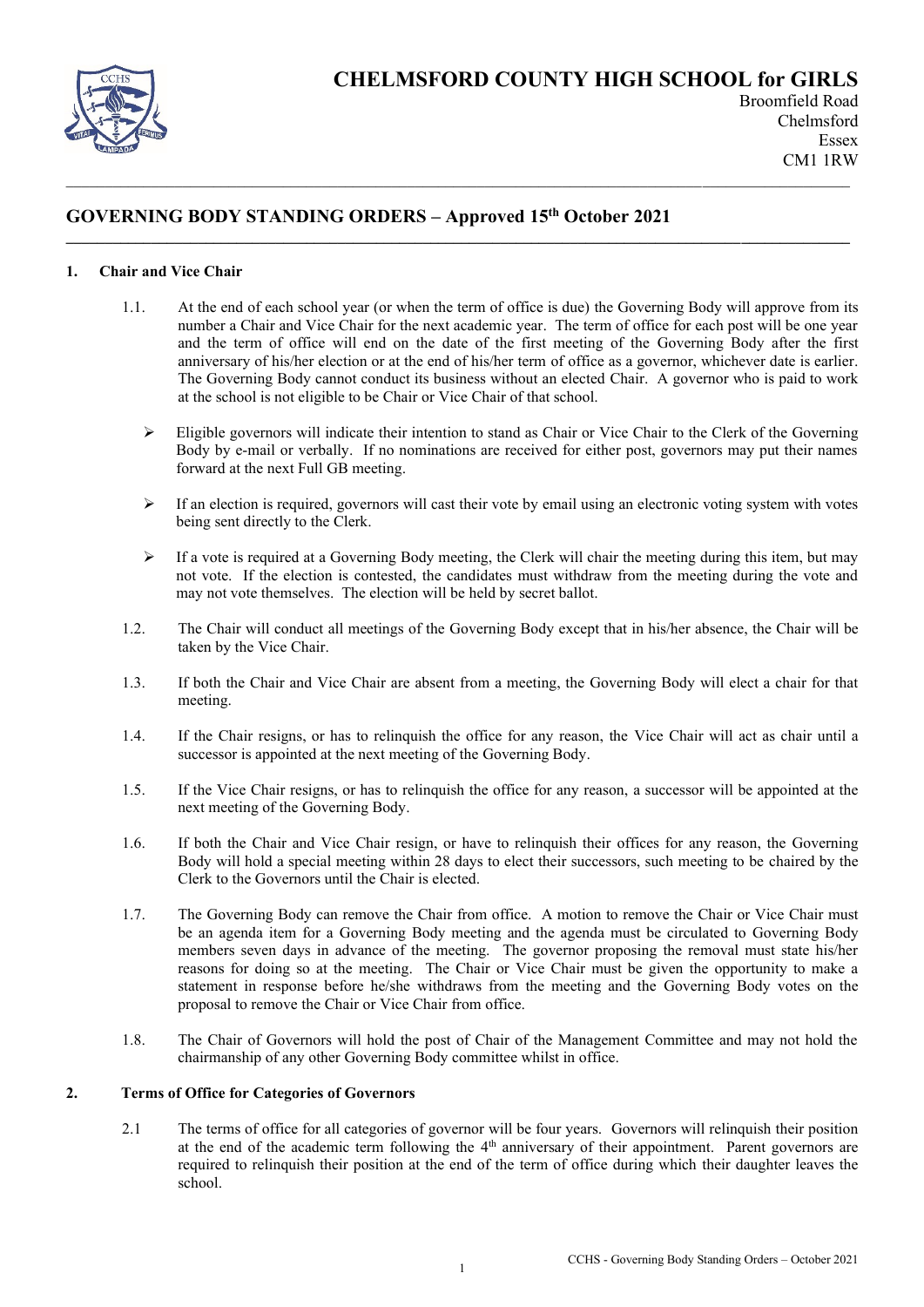

# **GOVERNING BODY STANDING ORDERS – Approved 15th October 2021**

## **1. Chair and Vice Chair**

1.1. At the end of each school year (or when the term of office is due) the Governing Body will approve from its number a Chair and Vice Chair for the next academic year. The term of office for each post will be one year and the term of office will end on the date of the first meeting of the Governing Body after the first anniversary of his/her election or at the end of his/her term of office as a governor, whichever date is earlier. The Governing Body cannot conduct its business without an elected Chair. A governor who is paid to work at the school is not eligible to be Chair or Vice Chair of that school.

**\_\_\_\_\_\_\_\_\_\_\_\_\_\_\_\_\_\_\_\_\_\_\_\_\_\_\_\_\_\_\_\_\_\_\_\_\_\_\_\_\_\_\_\_\_\_\_\_\_\_\_\_\_\_\_\_\_\_\_\_\_\_\_\_\_\_\_\_\_\_\_\_\_\_\_\_\_\_\_\_\_\_\_\_\_\_\_\_\_\_\_\_\_\_\_\_\_\_\_\_\_**

- ➢ Eligible governors will indicate their intention to stand as Chair or Vice Chair to the Clerk of the Governing Body by e-mail or verbally. If no nominations are received for either post, governors may put their names forward at the next Full GB meeting.
- $\triangleright$  If an election is required, governors will cast their vote by email using an electronic voting system with votes being sent directly to the Clerk.
- $\triangleright$  If a vote is required at a Governing Body meeting, the Clerk will chair the meeting during this item, but may not vote. If the election is contested, the candidates must withdraw from the meeting during the vote and may not vote themselves. The election will be held by secret ballot.
- 1.2. The Chair will conduct all meetings of the Governing Body except that in his/her absence, the Chair will be taken by the Vice Chair.
- 1.3. If both the Chair and Vice Chair are absent from a meeting, the Governing Body will elect a chair for that meeting.
- 1.4. If the Chair resigns, or has to relinquish the office for any reason, the Vice Chair will act as chair until a successor is appointed at the next meeting of the Governing Body.
- 1.5. If the Vice Chair resigns, or has to relinquish the office for any reason, a successor will be appointed at the next meeting of the Governing Body.
- 1.6. If both the Chair and Vice Chair resign, or have to relinquish their offices for any reason, the Governing Body will hold a special meeting within 28 days to elect their successors, such meeting to be chaired by the Clerk to the Governors until the Chair is elected.
- 1.7. The Governing Body can remove the Chair from office. A motion to remove the Chair or Vice Chair must be an agenda item for a Governing Body meeting and the agenda must be circulated to Governing Body members seven days in advance of the meeting. The governor proposing the removal must state his/her reasons for doing so at the meeting. The Chair or Vice Chair must be given the opportunity to make a statement in response before he/she withdraws from the meeting and the Governing Body votes on the proposal to remove the Chair or Vice Chair from office.
- 1.8. The Chair of Governors will hold the post of Chair of the Management Committee and may not hold the chairmanship of any other Governing Body committee whilst in office.

## **2. Terms of Office for Categories of Governors**

2.1 The terms of office for all categories of governor will be four years. Governors will relinquish their position at the end of the academic term following the 4<sup>th</sup> anniversary of their appointment. Parent governors are required to relinquish their position at the end of the term of office during which their daughter leaves the school.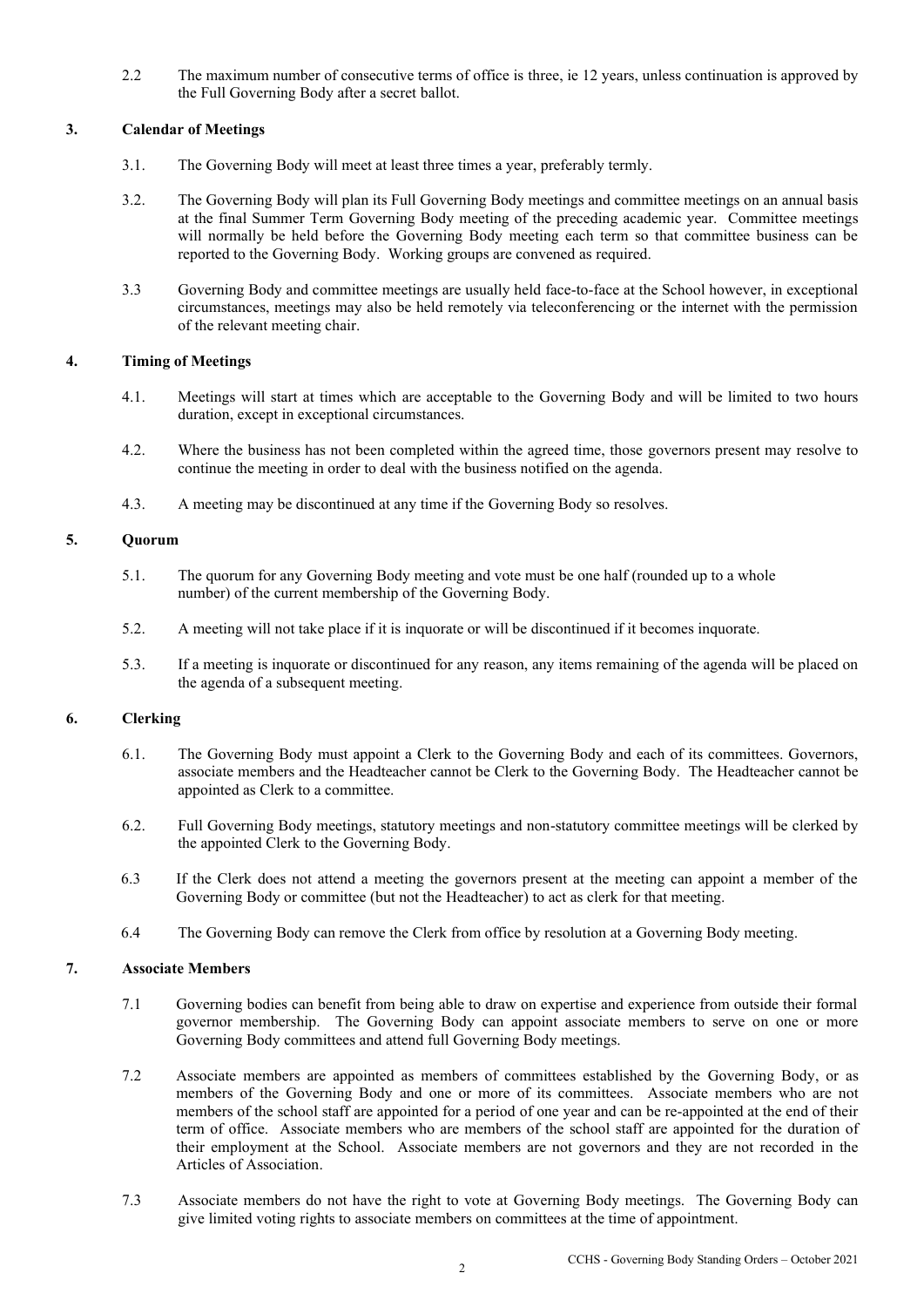2.2 The maximum number of consecutive terms of office is three, ie 12 years, unless continuation is approved by the Full Governing Body after a secret ballot.

## **3. Calendar of Meetings**

- 3.1. The Governing Body will meet at least three times a year, preferably termly.
- 3.2. The Governing Body will plan its Full Governing Body meetings and committee meetings on an annual basis at the final Summer Term Governing Body meeting of the preceding academic year. Committee meetings will normally be held before the Governing Body meeting each term so that committee business can be reported to the Governing Body. Working groups are convened as required.
- 3.3 Governing Body and committee meetings are usually held face-to-face at the School however, in exceptional circumstances, meetings may also be held remotely via teleconferencing or the internet with the permission of the relevant meeting chair.

## **4. Timing of Meetings**

- 4.1. Meetings will start at times which are acceptable to the Governing Body and will be limited to two hours duration, except in exceptional circumstances.
- 4.2. Where the business has not been completed within the agreed time, those governors present may resolve to continue the meeting in order to deal with the business notified on the agenda.
- 4.3. A meeting may be discontinued at any time if the Governing Body so resolves.

## **5. Quorum**

- 5.1. The quorum for any Governing Body meeting and vote must be one half (rounded up to a whole number) of the current membership of the Governing Body.
- 5.2. A meeting will not take place if it is inquorate or will be discontinued if it becomes inquorate.
- 5.3. If a meeting is inquorate or discontinued for any reason, any items remaining of the agenda will be placed on the agenda of a subsequent meeting.

# **6. Clerking**

- 6.1. The Governing Body must appoint a Clerk to the Governing Body and each of its committees. Governors, associate members and the Headteacher cannot be Clerk to the Governing Body. The Headteacher cannot be appointed as Clerk to a committee.
- 6.2. Full Governing Body meetings, statutory meetings and non-statutory committee meetings will be clerked by the appointed Clerk to the Governing Body.
- 6.3 If the Clerk does not attend a meeting the governors present at the meeting can appoint a member of the Governing Body or committee (but not the Headteacher) to act as clerk for that meeting.
- 6.4 The Governing Body can remove the Clerk from office by resolution at a Governing Body meeting.

## **7. Associate Members**

- 7.1 Governing bodies can benefit from being able to draw on expertise and experience from outside their formal governor membership. The Governing Body can appoint associate members to serve on one or more Governing Body committees and attend full Governing Body meetings.
- 7.2 Associate members are appointed as members of committees established by the Governing Body, or as members of the Governing Body and one or more of its committees. Associate members who are not members of the school staff are appointed for a period of one year and can be re-appointed at the end of their term of office. Associate members who are members of the school staff are appointed for the duration of their employment at the School. Associate members are not governors and they are not recorded in the Articles of Association.
- 7.3 Associate members do not have the right to vote at Governing Body meetings. The Governing Body can give limited voting rights to associate members on committees at the time of appointment.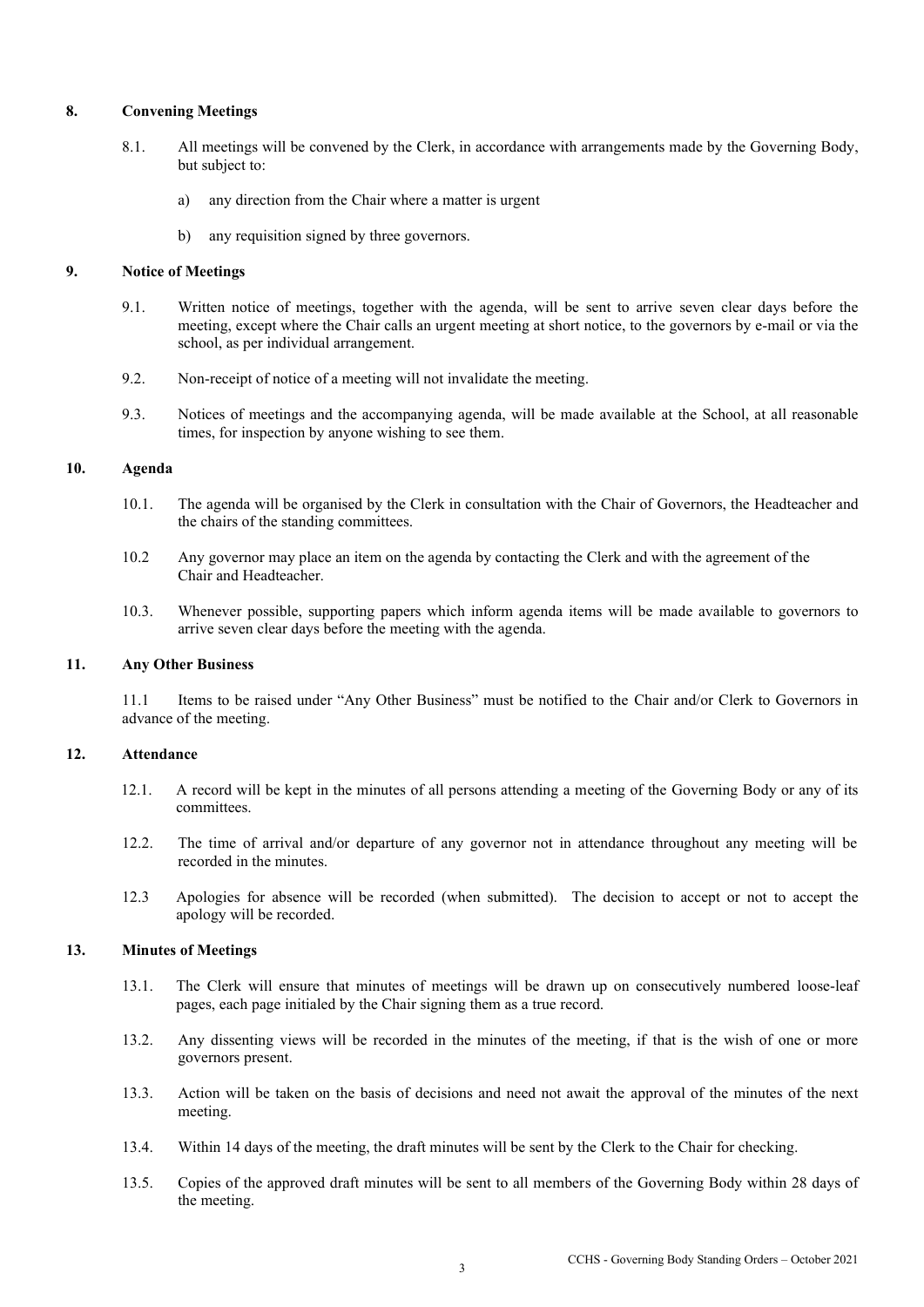### **8. Convening Meetings**

- 8.1. All meetings will be convened by the Clerk, in accordance with arrangements made by the Governing Body, but subject to:
	- a) any direction from the Chair where a matter is urgent
	- b) any requisition signed by three governors.

#### **9. Notice of Meetings**

- 9.1. Written notice of meetings, together with the agenda, will be sent to arrive seven clear days before the meeting, except where the Chair calls an urgent meeting at short notice, to the governors by e-mail or via the school, as per individual arrangement.
- 9.2. Non-receipt of notice of a meeting will not invalidate the meeting.
- 9.3. Notices of meetings and the accompanying agenda, will be made available at the School, at all reasonable times, for inspection by anyone wishing to see them.

# **10. Agenda**

- 10.1. The agenda will be organised by the Clerk in consultation with the Chair of Governors, the Headteacher and the chairs of the standing committees.
- 10.2 Any governor may place an item on the agenda by contacting the Clerk and with the agreement of the Chair and Headteacher.
- 10.3. Whenever possible, supporting papers which inform agenda items will be made available to governors to arrive seven clear days before the meeting with the agenda.

#### **11. Any Other Business**

11.1 Items to be raised under "Any Other Business" must be notified to the Chair and/or Clerk to Governors in advance of the meeting.

## **12. Attendance**

- 12.1. A record will be kept in the minutes of all persons attending a meeting of the Governing Body or any of its committees.
- 12.2. The time of arrival and/or departure of any governor not in attendance throughout any meeting will be recorded in the minutes.
- 12.3 Apologies for absence will be recorded (when submitted). The decision to accept or not to accept the apology will be recorded.

## **13. Minutes of Meetings**

- 13.1. The Clerk will ensure that minutes of meetings will be drawn up on consecutively numbered loose-leaf pages, each page initialed by the Chair signing them as a true record.
- 13.2. Any dissenting views will be recorded in the minutes of the meeting, if that is the wish of one or more governors present.
- 13.3. Action will be taken on the basis of decisions and need not await the approval of the minutes of the next meeting.
- 13.4. Within 14 days of the meeting, the draft minutes will be sent by the Clerk to the Chair for checking.
- 13.5. Copies of the approved draft minutes will be sent to all members of the Governing Body within 28 days of the meeting.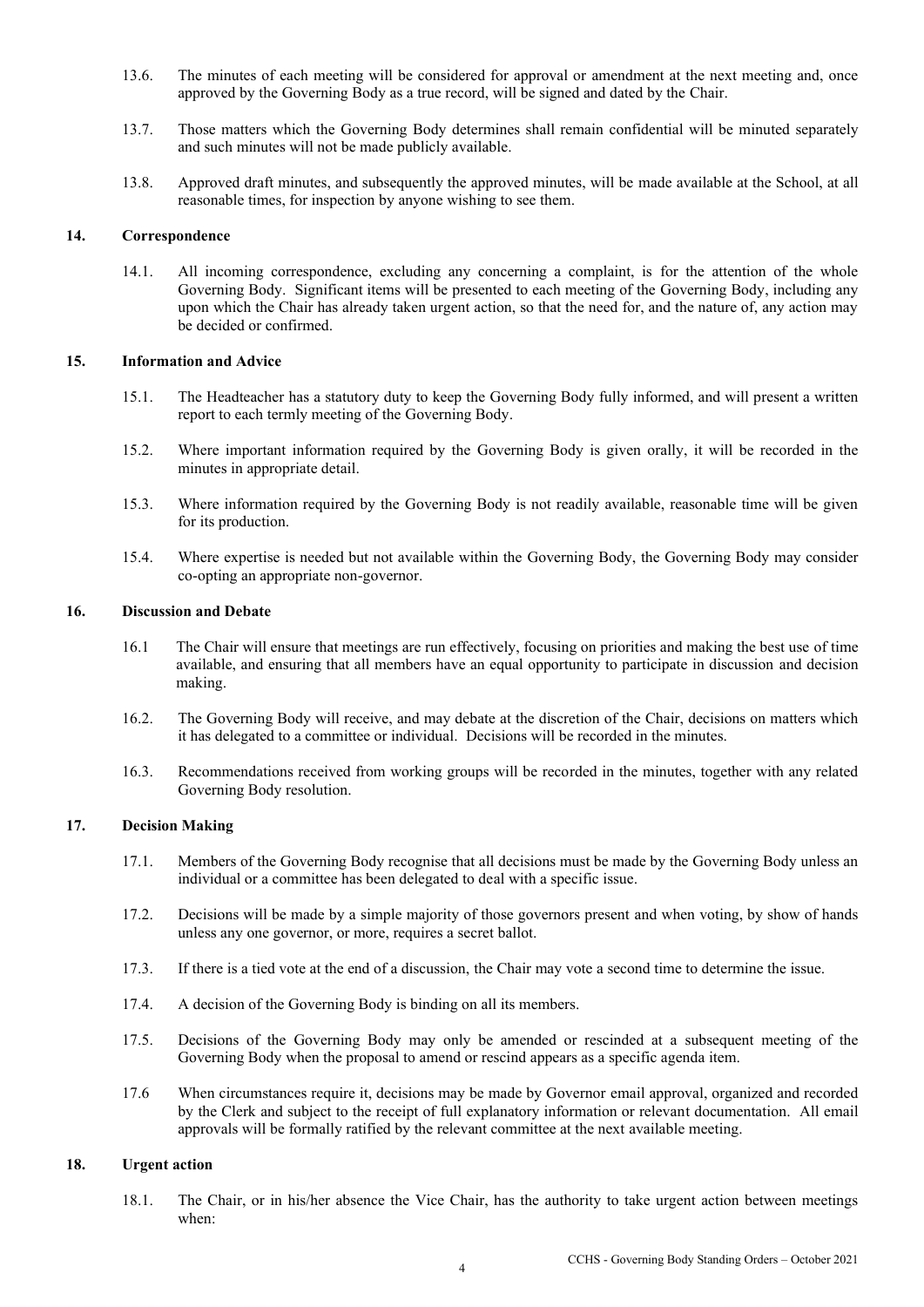- 13.6. The minutes of each meeting will be considered for approval or amendment at the next meeting and, once approved by the Governing Body as a true record, will be signed and dated by the Chair.
- 13.7. Those matters which the Governing Body determines shall remain confidential will be minuted separately and such minutes will not be made publicly available.
- 13.8. Approved draft minutes, and subsequently the approved minutes, will be made available at the School, at all reasonable times, for inspection by anyone wishing to see them.

#### **14. Correspondence**

14.1. All incoming correspondence, excluding any concerning a complaint, is for the attention of the whole Governing Body. Significant items will be presented to each meeting of the Governing Body, including any upon which the Chair has already taken urgent action, so that the need for, and the nature of, any action may be decided or confirmed.

#### **15. Information and Advice**

- 15.1. The Headteacher has a statutory duty to keep the Governing Body fully informed, and will present a written report to each termly meeting of the Governing Body.
- 15.2. Where important information required by the Governing Body is given orally, it will be recorded in the minutes in appropriate detail.
- 15.3. Where information required by the Governing Body is not readily available, reasonable time will be given for its production.
- 15.4. Where expertise is needed but not available within the Governing Body, the Governing Body may consider co-opting an appropriate non-governor.

#### **16. Discussion and Debate**

- 16.1 The Chair will ensure that meetings are run effectively, focusing on priorities and making the best use of time available, and ensuring that all members have an equal opportunity to participate in discussion and decision making.
- 16.2. The Governing Body will receive, and may debate at the discretion of the Chair, decisions on matters which it has delegated to a committee or individual. Decisions will be recorded in the minutes.
- 16.3. Recommendations received from working groups will be recorded in the minutes, together with any related Governing Body resolution.

## **17. Decision Making**

- 17.1. Members of the Governing Body recognise that all decisions must be made by the Governing Body unless an individual or a committee has been delegated to deal with a specific issue.
- 17.2. Decisions will be made by a simple majority of those governors present and when voting, by show of hands unless any one governor, or more, requires a secret ballot.
- 17.3. If there is a tied vote at the end of a discussion, the Chair may vote a second time to determine the issue.
- 17.4. A decision of the Governing Body is binding on all its members.
- 17.5. Decisions of the Governing Body may only be amended or rescinded at a subsequent meeting of the Governing Body when the proposal to amend or rescind appears as a specific agenda item.
- 17.6 When circumstances require it, decisions may be made by Governor email approval, organized and recorded by the Clerk and subject to the receipt of full explanatory information or relevant documentation. All email approvals will be formally ratified by the relevant committee at the next available meeting.

# **18. Urgent action**

18.1. The Chair, or in his/her absence the Vice Chair, has the authority to take urgent action between meetings when: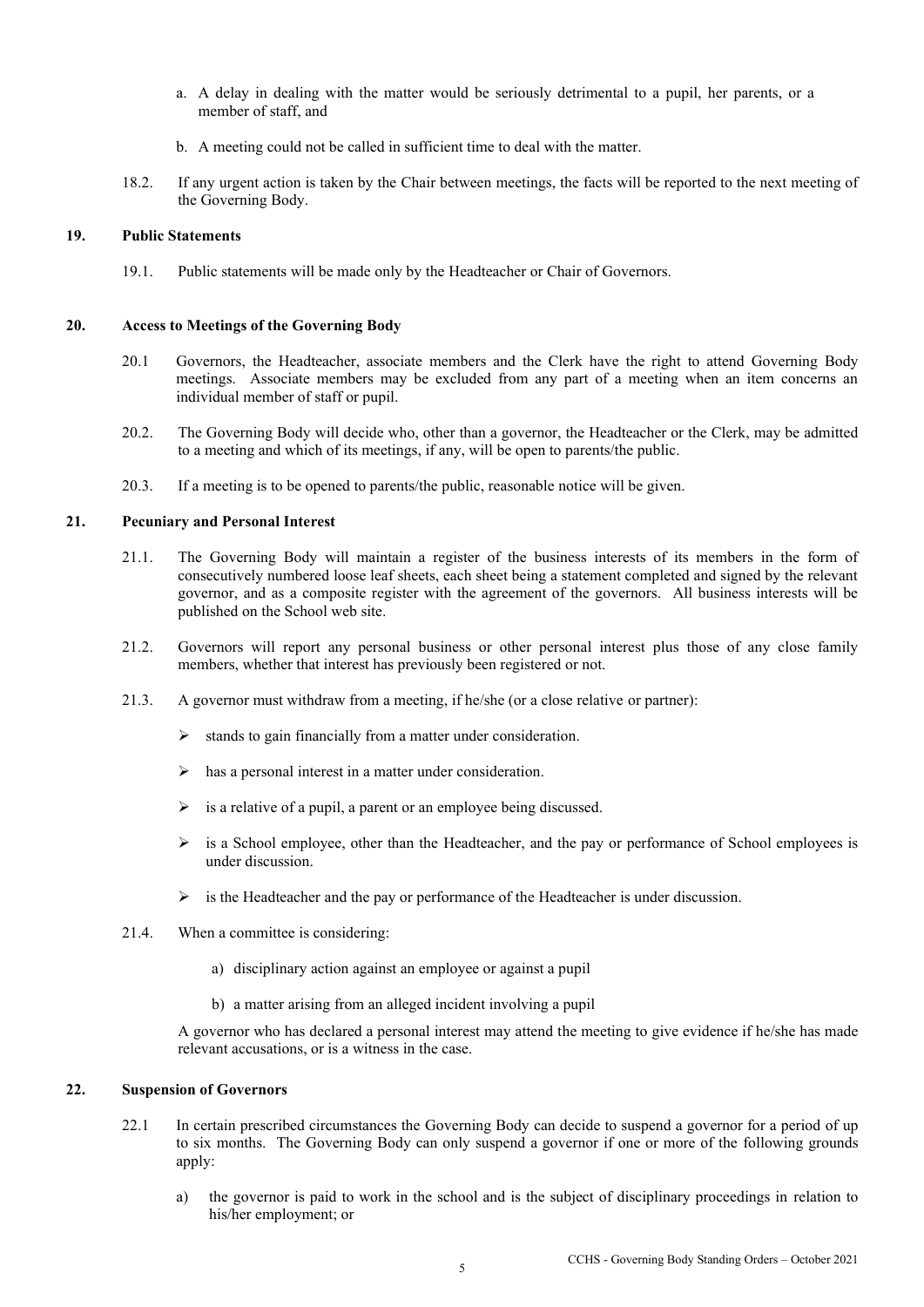- a. A delay in dealing with the matter would be seriously detrimental to a pupil, her parents, or a member of staff, and
- b. A meeting could not be called in sufficient time to deal with the matter.
- 18.2. If any urgent action is taken by the Chair between meetings, the facts will be reported to the next meeting of the Governing Body.

#### **19. Public Statements**

19.1. Public statements will be made only by the Headteacher or Chair of Governors.

#### **20. Access to Meetings of the Governing Body**

- 20.1 Governors, the Headteacher, associate members and the Clerk have the right to attend Governing Body meetings. Associate members may be excluded from any part of a meeting when an item concerns an individual member of staff or pupil.
- 20.2. The Governing Body will decide who, other than a governor, the Headteacher or the Clerk, may be admitted to a meeting and which of its meetings, if any, will be open to parents/the public.
- 20.3. If a meeting is to be opened to parents/the public, reasonable notice will be given.

## **21. Pecuniary and Personal Interest**

- 21.1. The Governing Body will maintain a register of the business interests of its members in the form of consecutively numbered loose leaf sheets, each sheet being a statement completed and signed by the relevant governor, and as a composite register with the agreement of the governors. All business interests will be published on the School web site.
- 21.2. Governors will report any personal business or other personal interest plus those of any close family members, whether that interest has previously been registered or not.
- 21.3. A governor must withdraw from a meeting, if he/she (or a close relative or partner):
	- ➢ stands to gain financially from a matter under consideration.
	- ➢ has a personal interest in a matter under consideration.
	- $\triangleright$  is a relative of a pupil, a parent or an employee being discussed.
	- $\triangleright$  is a School employee, other than the Headteacher, and the pay or performance of School employees is under discussion.
	- $\triangleright$  is the Headteacher and the pay or performance of the Headteacher is under discussion.
- 21.4. When a committee is considering:
	- a) disciplinary action against an employee or against a pupil
	- b) a matter arising from an alleged incident involving a pupil

A governor who has declared a personal interest may attend the meeting to give evidence if he/she has made relevant accusations, or is a witness in the case.

#### **22. Suspension of Governors**

- 22.1 In certain prescribed circumstances the Governing Body can decide to suspend a governor for a period of up to six months. The Governing Body can only suspend a governor if one or more of the following grounds apply:
	- a) the governor is paid to work in the school and is the subject of disciplinary proceedings in relation to his/her employment; or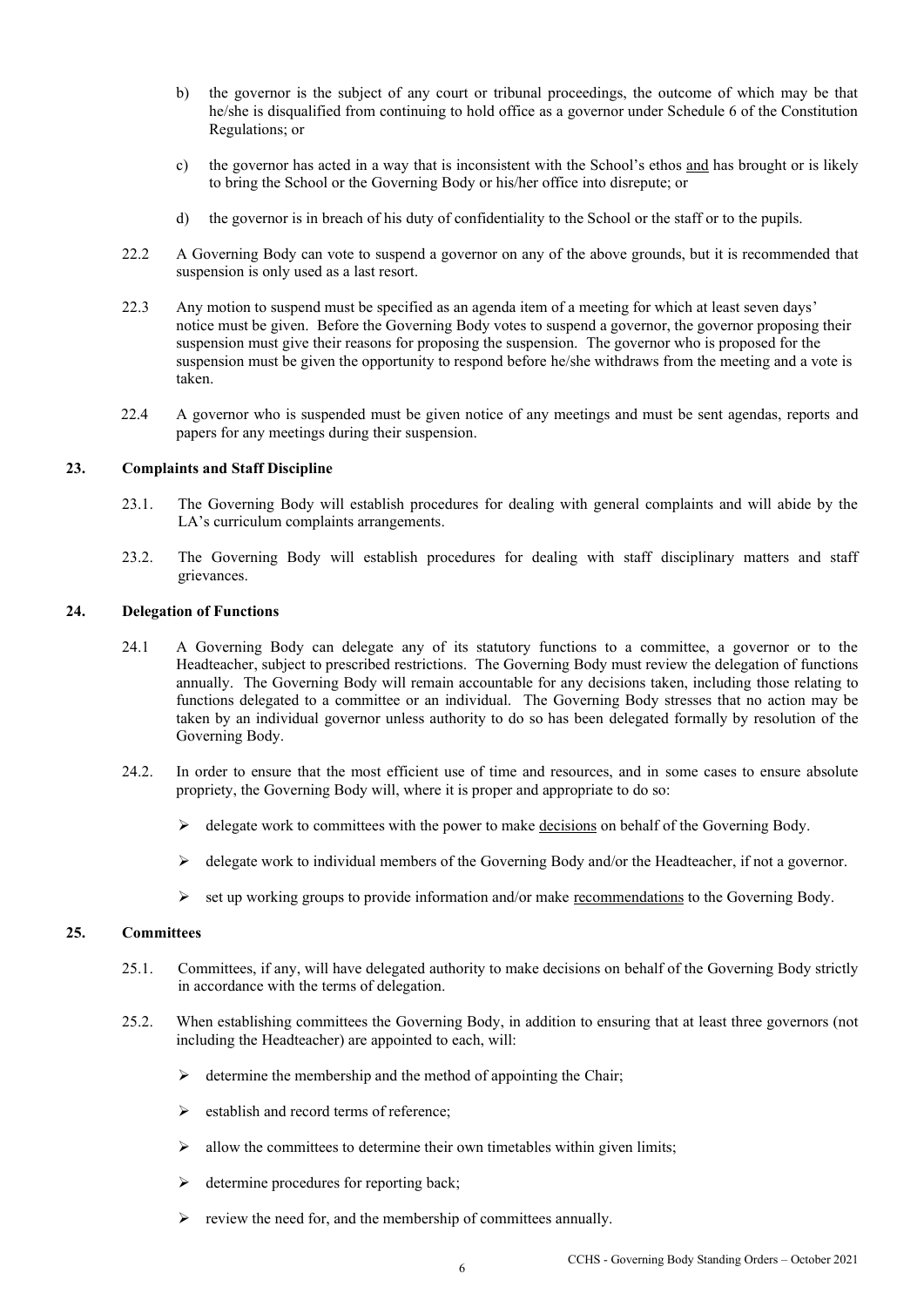- b) the governor is the subject of any court or tribunal proceedings, the outcome of which may be that he/she is disqualified from continuing to hold office as a governor under Schedule 6 of the Constitution Regulations; or
- c) the governor has acted in a way that is inconsistent with the School's ethos and has brought or is likely to bring the School or the Governing Body or his/her office into disrepute; or
- d) the governor is in breach of his duty of confidentiality to the School or the staff or to the pupils.
- 22.2 A Governing Body can vote to suspend a governor on any of the above grounds, but it is recommended that suspension is only used as a last resort.
- 22.3 Any motion to suspend must be specified as an agenda item of a meeting for which at least seven days' notice must be given. Before the Governing Body votes to suspend a governor, the governor proposing their suspension must give their reasons for proposing the suspension. The governor who is proposed for the suspension must be given the opportunity to respond before he/she withdraws from the meeting and a vote is taken.
- 22.4 A governor who is suspended must be given notice of any meetings and must be sent agendas, reports and papers for any meetings during their suspension.

#### **23. Complaints and Staff Discipline**

- 23.1. The Governing Body will establish procedures for dealing with general complaints and will abide by the LA's curriculum complaints arrangements.
- 23.2. The Governing Body will establish procedures for dealing with staff disciplinary matters and staff grievances.

#### **24. Delegation of Functions**

- 24.1 A Governing Body can delegate any of its statutory functions to a committee, a governor or to the Headteacher, subject to prescribed restrictions. The Governing Body must review the delegation of functions annually. The Governing Body will remain accountable for any decisions taken, including those relating to functions delegated to a committee or an individual. The Governing Body stresses that no action may be taken by an individual governor unless authority to do so has been delegated formally by resolution of the Governing Body.
- 24.2. In order to ensure that the most efficient use of time and resources, and in some cases to ensure absolute propriety, the Governing Body will, where it is proper and appropriate to do so:
	- $\triangleright$  delegate work to committees with the power to make decisions on behalf of the Governing Body.
	- $\triangleright$  delegate work to individual members of the Governing Body and/or the Headteacher, if not a governor.
	- $\triangleright$  set up working groups to provide information and/or make recommendations to the Governing Body.

#### **25. Committees**

- 25.1. Committees, if any, will have delegated authority to make decisions on behalf of the Governing Body strictly in accordance with the terms of delegation.
- 25.2. When establishing committees the Governing Body, in addition to ensuring that at least three governors (not including the Headteacher) are appointed to each, will:
	- $\triangleright$  determine the membership and the method of appointing the Chair;
	- ➢ establish and record terms of reference;
	- $\triangleright$  allow the committees to determine their own timetables within given limits;
	- $\triangleright$  determine procedures for reporting back;
	- review the need for, and the membership of committees annually.